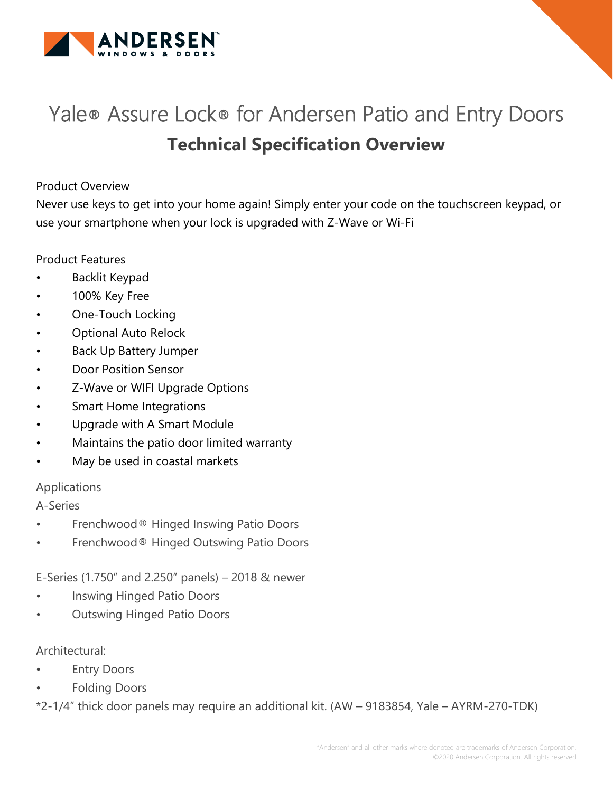

# Yale® Assure Lock® for Andersen Patio and Entry Doors **Technical Specification Overview**

# Product Overview

Never use keys to get into your home again! Simply enter your code on the touchscreen keypad, or use your smartphone when your lock is upgraded with Z-Wave or Wi-Fi

# Product Features

- Backlit Keypad
- 100% Key Free
- One-Touch Locking
- Optional Auto Relock
- Back Up Battery Jumper
- Door Position Sensor
- Z-Wave or WIFI Upgrade Options
- Smart Home Integrations
- Upgrade with A Smart Module
- Maintains the patio door limited warranty
- May be used in coastal markets

# Applications

A-Series

- Frenchwood® Hinged Inswing Patio Doors
- Frenchwood® Hinged Outswing Patio Doors

E-Series (1.750" and 2.250" panels) – 2018 & newer

- Inswing Hinged Patio Doors
- Outswing Hinged Patio Doors

Architectural:

- **Entry Doors**
- Folding Doors

\*2-1/4" thick door panels may require an additional kit. (AW – 9183854, Yale – AYRM-270-TDK)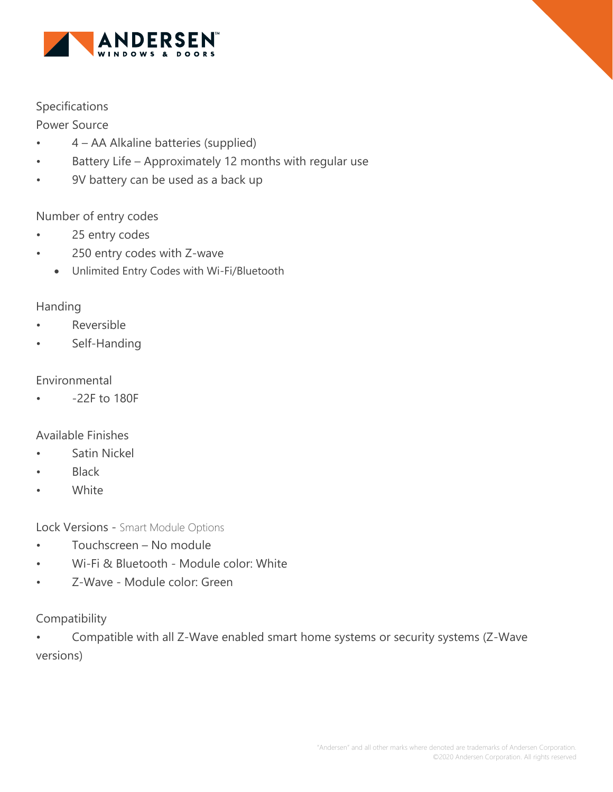

# Specifications

Power Source

- 4 AA Alkaline batteries (supplied)
- Battery Life Approximately 12 months with regular use
- 9V battery can be used as a back up

# Number of entry codes

- 25 entry codes
- 250 entry codes with Z-wave
	- Unlimited Entry Codes with Wi-Fi/Bluetooth

# Handing

- Reversible
- Self-Handing

#### Environmental

• -22F to 180F

# Available Finishes

- Satin Nickel
- Black
- White

Lock Versions - Smart Module Options

- Touchscreen No module
- Wi-Fi & Bluetooth Module color: White
- Z-Wave Module color: Green

Compatibility

• Compatible with all Z-Wave enabled smart home systems or security systems (Z-Wave versions)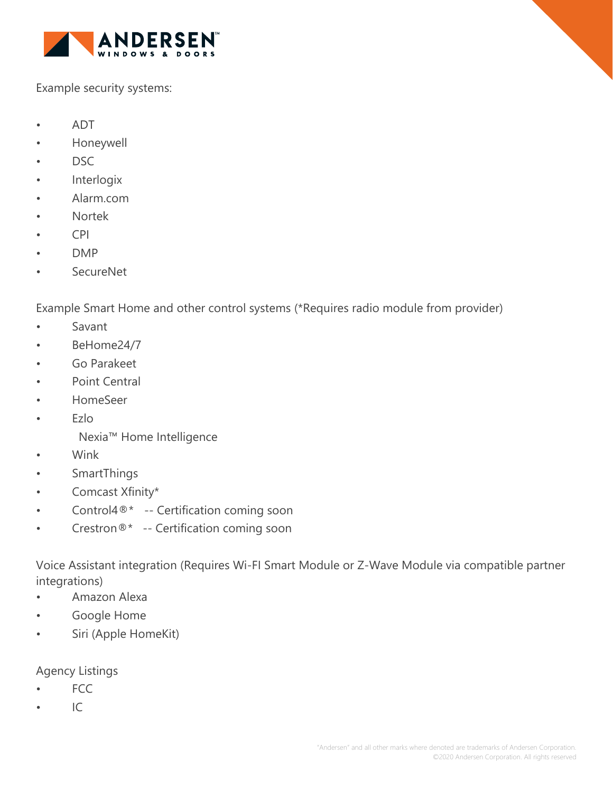

Example security systems:

- ADT
- Honeywell
- DSC
- **Interlogix**
- Alarm.com
- Nortek
- CPI
- DMP
- SecureNet

Example Smart Home and other control systems (\*Requires radio module from provider)

- Savant
- BeHome24/7
- Go Parakeet
- Point Central
- HomeSeer
- Ezlo
	- Nexia™ Home Intelligence
- Wink
- SmartThings
- Comcast Xfinity\*
- Control4<sup>®\*</sup> -- Certification coming soon
- Crestron®\* -- Certification coming soon

Voice Assistant integration (Requires Wi-FI Smart Module or Z-Wave Module via compatible partner integrations)

- Amazon Alexa
- Google Home
- Siri (Apple HomeKit)

# Agency Listings

- FCC
- $\cdot$  IC